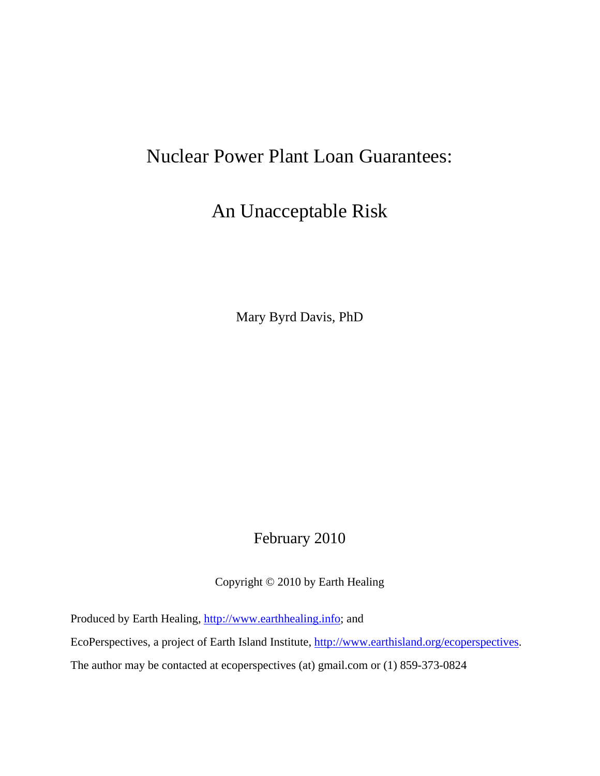## Nuclear Power Plant Loan Guarantees:

## An Unacceptable Risk

Mary Byrd Davis, PhD

### February 2010

Copyright © 2010 by Earth Healing

Produced by Earth Healing, [http://www.earthhealing.info;](http://www.earthhealing.info/) and

EcoPerspectives, a project of Earth Island Institute, [http://www.earthisland.org/ecoperspectives.](http://www.earthisland.org/ecoperspectives)

The author may be contacted at ecoperspectives (at) gmail.com or (1) 859-373-0824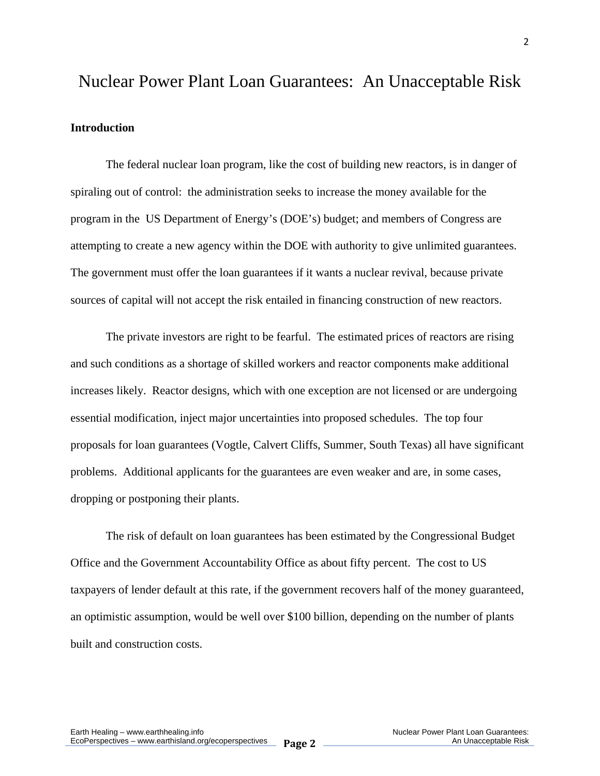# Nuclear Power Plant Loan Guarantees: An Unacceptable Risk **Introduction**

The federal nuclear loan program, like the cost of building new reactors, is in danger of spiraling out of control: the administration seeks to increase the money available for the program in the US Department of Energy's (DOE's) budget; and members of Congress are attempting to create a new agency within the DOE with authority to give unlimited guarantees. The government must offer the loan guarantees if it wants a nuclear revival, because private sources of capital will not accept the risk entailed in financing construction of new reactors.

 The private investors are right to be fearful. The estimated prices of reactors are rising and such conditions as a shortage of skilled workers and reactor components make additional increases likely. Reactor designs, which with one exception are not licensed or are undergoing essential modification, inject major uncertainties into proposed schedules. The top four proposals for loan guarantees (Vogtle, Calvert Cliffs, Summer, South Texas) all have significant problems. Additional applicants for the guarantees are even weaker and are, in some cases, dropping or postponing their plants.

 The risk of default on loan guarantees has been estimated by the Congressional Budget Office and the Government Accountability Office as about fifty percent. The cost to US taxpayers of lender default at this rate, if the government recovers half of the money guaranteed, an optimistic assumption, would be well over \$100 billion, depending on the number of plants built and construction costs.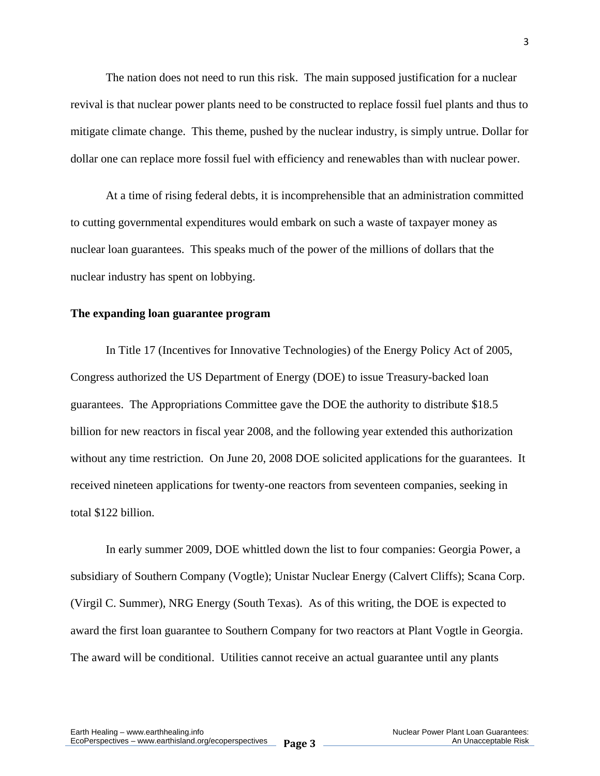The nation does not need to run this risk. The main supposed justification for a nuclear revival is that nuclear power plants need to be constructed to replace fossil fuel plants and thus to mitigate climate change. This theme, pushed by the nuclear industry, is simply untrue. Dollar for dollar one can replace more fossil fuel with efficiency and renewables than with nuclear power.

 At a time of rising federal debts, it is incomprehensible that an administration committed to cutting governmental expenditures would embark on such a waste of taxpayer money as nuclear loan guarantees. This speaks much of the power of the millions of dollars that the nuclear industry has spent on lobbying.

#### **The expanding loan guarantee program**

 In Title 17 (Incentives for Innovative Technologies) of the Energy Policy Act of 2005, Congress authorized the US Department of Energy (DOE) to issue Treasury-backed loan guarantees. The Appropriations Committee gave the DOE the authority to distribute \$18.5 billion for new reactors in fiscal year 2008, and the following year extended this authorization without any time restriction. On June 20, 2008 DOE solicited applications for the guarantees. It received nineteen applications for twenty-one reactors from seventeen companies, seeking in total \$122 billion.

 In early summer 2009, DOE whittled down the list to four companies: Georgia Power, a subsidiary of Southern Company (Vogtle); Unistar Nuclear Energy (Calvert Cliffs); Scana Corp. (Virgil C. Summer), NRG Energy (South Texas). As of this writing, the DOE is expected to award the first loan guarantee to Southern Company for two reactors at Plant Vogtle in Georgia. The award will be conditional. Utilities cannot receive an actual guarantee until any plants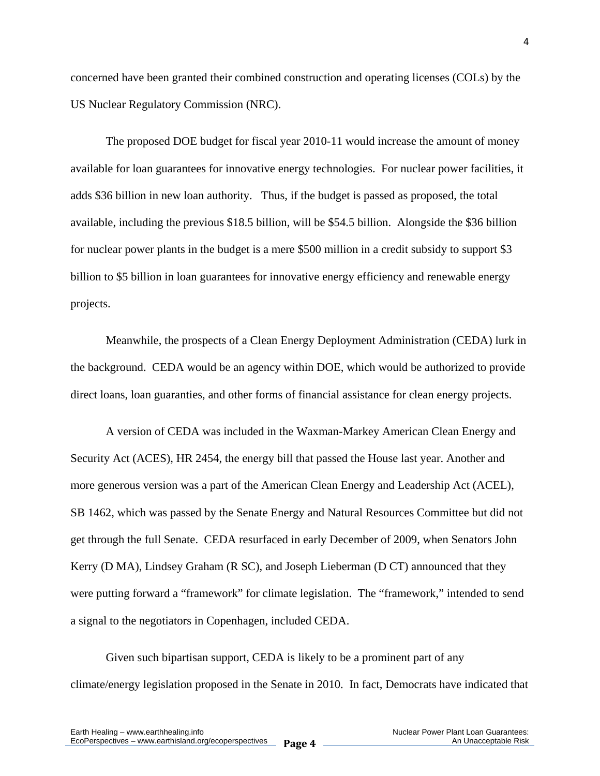concerned have been granted their combined construction and operating licenses (COLs) by the US Nuclear Regulatory Commission (NRC).

 The proposed DOE budget for fiscal year 2010-11 would increase the amount of money available for loan guarantees for innovative energy technologies. For nuclear power facilities, it adds \$36 billion in new loan authority. Thus, if the budget is passed as proposed, the total available, including the previous \$18.5 billion, will be \$54.5 billion. Alongside the \$36 billion for nuclear power plants in the budget is a mere \$500 million in a credit subsidy to support \$3 billion to \$5 billion in loan guarantees for innovative energy efficiency and renewable energy projects.

Meanwhile, the prospects of a Clean Energy Deployment Administration (CEDA) lurk in the background. CEDA would be an agency within DOE, which would be authorized to provide direct loans, loan guaranties, and other forms of financial assistance for clean energy projects.

 A version of CEDA was included in the Waxman-Markey American Clean Energy and Security Act (ACES), HR 2454, the energy bill that passed the House last year. Another and more generous version was a part of the American Clean Energy and Leadership Act (ACEL), SB 1462, which was passed by the Senate Energy and Natural Resources Committee but did not get through the full Senate. CEDA resurfaced in early December of 2009, when Senators John Kerry (D MA), Lindsey Graham (R SC), and Joseph Lieberman (D CT) announced that they were putting forward a "framework" for climate legislation. The "framework," intended to send a signal to the negotiators in Copenhagen, included CEDA.

 Given such bipartisan support, CEDA is likely to be a prominent part of any climate/energy legislation proposed in the Senate in 2010. In fact, Democrats have indicated that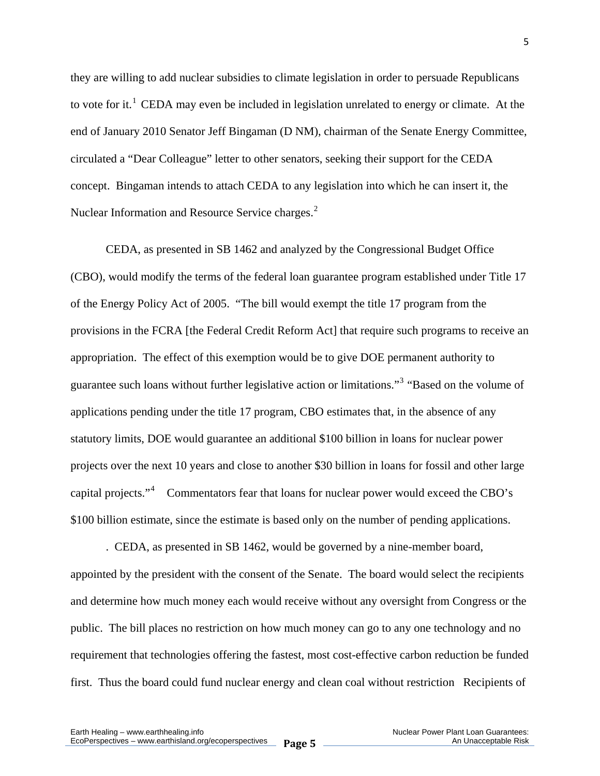they are willing to add nuclear subsidies to climate legislation in order to persuade Republicans to vote for it.<sup>[1](#page-22-0)</sup> CEDA may even be included in legislation unrelated to energy or climate. At the end of January 2010 Senator Jeff Bingaman (D NM), chairman of the Senate Energy Committee, circulated a "Dear Colleague" letter to other senators, seeking their support for the CEDA concept. Bingaman intends to attach CEDA to any legislation into which he can insert it, the Nuclear Information and Resource Service charges.<sup>[2](#page-22-1)</sup>

 CEDA, as presented in SB 1462 and analyzed by the Congressional Budget Office (CBO), would modify the terms of the federal loan guarantee program established under Title 17 of the Energy Policy Act of 2005. "The bill would exempt the title 17 program from the provisions in the FCRA [the Federal Credit Reform Act] that require such programs to receive an appropriation. The effect of this exemption would be to give DOE permanent authority to guarantee such loans without further legislative action or limitations."<sup>[3](#page-22-1)</sup> "Based on the volume of applications pending under the title 17 program, CBO estimates that, in the absence of any statutory limits, DOE would guarantee an additional \$100 billion in loans for nuclear power projects over the next 10 years and close to another \$30 billion in loans for fossil and other large capital projects." $4$  Commentators fear that loans for nuclear power would exceed the CBO's \$100 billion estimate, since the estimate is based only on the number of pending applications.

 . CEDA, as presented in SB 1462, would be governed by a nine-member board, appointed by the president with the consent of the Senate. The board would select the recipients and determine how much money each would receive without any oversight from Congress or the public. The bill places no restriction on how much money can go to any one technology and no requirement that technologies offering the fastest, most cost-effective carbon reduction be funded first. Thus the board could fund nuclear energy and clean coal without restriction Recipients of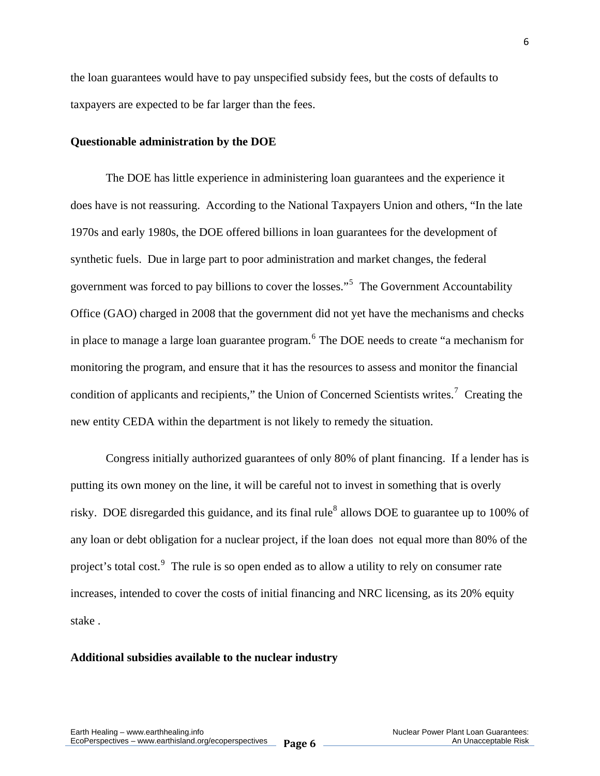the loan guarantees would have to pay unspecified subsidy fees, but the costs of defaults to taxpayers are expected to be far larger than the fees.

#### **Questionable administration by the DOE**

The DOE has little experience in administering loan guarantees and the experience it does have is not reassuring. According to the National Taxpayers Union and others, "In the late 1970s and early 1980s, the DOE offered billions in loan guarantees for the development of synthetic fuels. Due in large part to poor administration and market changes, the federal government was forced to pay billions to cover the losses."<sup>[5](#page-23-0)</sup> The Government Accountability Office (GAO) charged in 2008 that the government did not yet have the mechanisms and checks in place to manage a large loan guarantee program. <sup>[6](#page-23-0)</sup> The DOE needs to create "a mechanism for monitoring the program, and ensure that it has the resources to assess and monitor the financial condition of applicants and recipients," the Union of Concerned Scientists writes.<sup>[7](#page-23-0)</sup> Creating the new entity CEDA within the department is not likely to remedy the situation.

 Congress initially authorized guarantees of only 80% of plant financing. If a lender has is putting its own money on the line, it will be careful not to invest in something that is overly risky. DOE disregarded this guidance, and its final rule<sup>[8](#page-23-0)</sup> allows DOE to guarantee up to 100% of any loan or debt obligation for a nuclear project, if the loan does not equal more than 80% of the project's total cost.<sup>[9](#page-23-0)</sup> The rule is so open ended as to allow a utility to rely on consumer rate increases, intended to cover the costs of initial financing and NRC licensing, as its 20% equity stake .

#### **Additional subsidies available to the nuclear industry**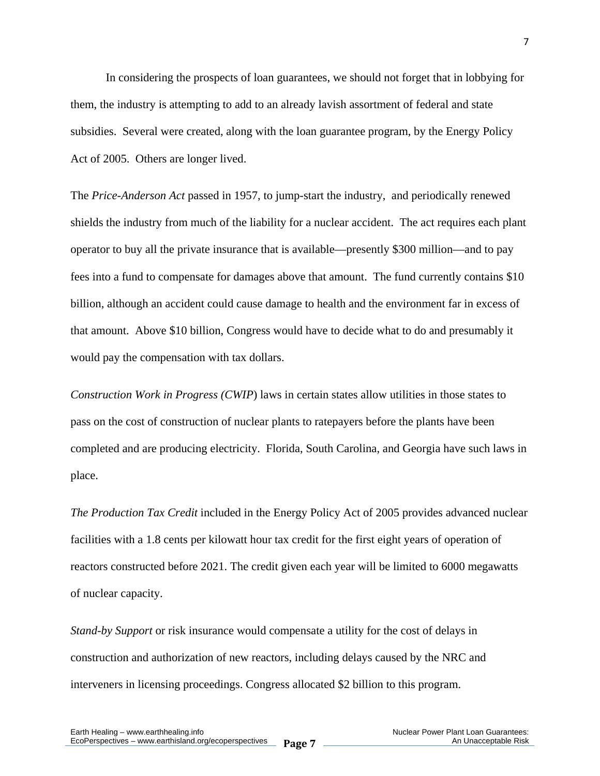In considering the prospects of loan guarantees, we should not forget that in lobbying for them, the industry is attempting to add to an already lavish assortment of federal and state subsidies. Several were created, along with the loan guarantee program, by the Energy Policy Act of 2005. Others are longer lived.

The *Price-Anderson Act* passed in 1957, to jump-start the industry, and periodically renewed shields the industry from much of the liability for a nuclear accident. The act requires each plant operator to buy all the private insurance that is available—presently \$300 million—and to pay fees into a fund to compensate for damages above that amount. The fund currently contains \$10 billion, although an accident could cause damage to health and the environment far in excess of that amount. Above \$10 billion, Congress would have to decide what to do and presumably it would pay the compensation with tax dollars.

*Construction Work in Progress (CWIP*) laws in certain states allow utilities in those states to pass on the cost of construction of nuclear plants to ratepayers before the plants have been completed and are producing electricity. Florida, South Carolina, and Georgia have such laws in place.

*The Production Tax Credit* included in the Energy Policy Act of 2005 provides advanced nuclear facilities with a 1.8 cents per kilowatt hour tax credit for the first eight years of operation of reactors constructed before 2021. The credit given each year will be limited to 6000 megawatts of nuclear capacity.

*Stand-by Support* or risk insurance would compensate a utility for the cost of delays in construction and authorization of new reactors, including delays caused by the NRC and interveners in licensing proceedings. Congress allocated \$2 billion to this program.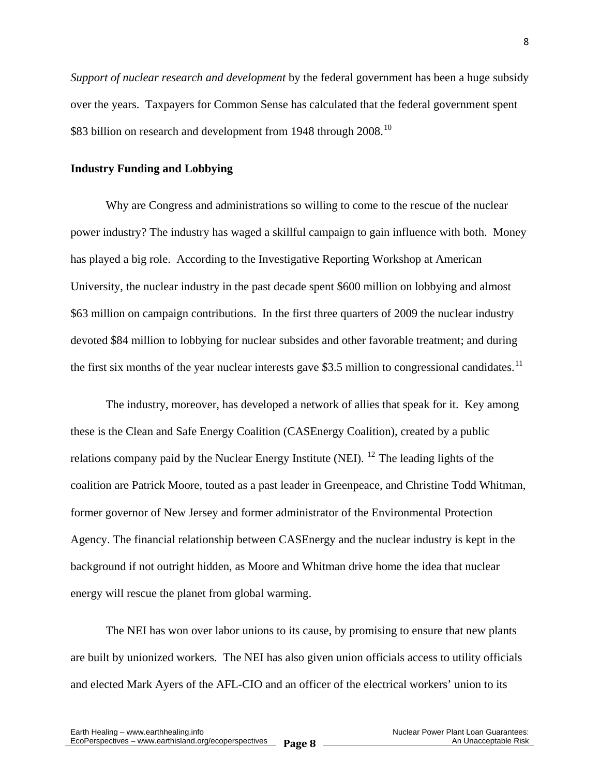*Support of nuclear research and development* by the federal government has been a huge subsidy over the years. Taxpayers for Common Sense has calculated that the federal government spent \$83 billion on research and development from 1948 through 2008.<sup>[10](#page-23-0)</sup>

#### **Industry Funding and Lobbying**

 Why are Congress and administrations so willing to come to the rescue of the nuclear power industry? The industry has waged a skillful campaign to gain influence with both. Money has played a big role. According to the Investigative Reporting Workshop at American University, the nuclear industry in the past decade spent \$600 million on lobbying and almost \$63 million on campaign contributions. In the first three quarters of 2009 the nuclear industry devoted \$84 million to lobbying for nuclear subsides and other favorable treatment; and during the first six months of the year nuclear interests gave \$3.5 million to congressional candidates.<sup>[11](#page-23-0)</sup>

 The industry, moreover, has developed a network of allies that speak for it. Key among these is the Clean and Safe Energy Coalition (CASEnergy Coalition), created by a public relations company paid by the Nuclear Energy Institute (NEI). <sup>[12](#page-23-0)</sup> The leading lights of the coalition are Patrick Moore, touted as a past leader in Greenpeace, and Christine Todd Whitman, former governor of New Jersey and former administrator of the Environmental Protection Agency. The financial relationship between CASEnergy and the nuclear industry is kept in the background if not outright hidden, as Moore and Whitman drive home the idea that nuclear energy will rescue the planet from global warming.

 The NEI has won over labor unions to its cause, by promising to ensure that new plants are built by unionized workers. The NEI has also given union officials access to utility officials and elected Mark Ayers of the AFL-CIO and an officer of the electrical workers' union to its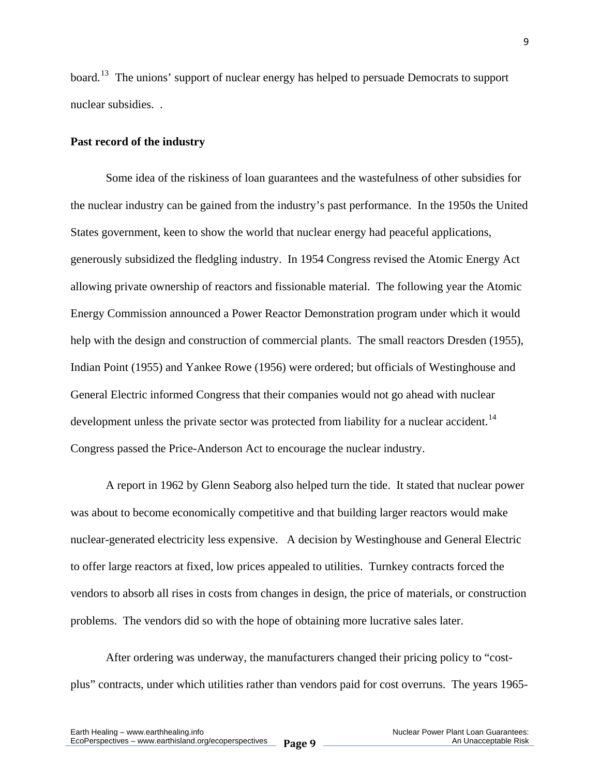board.<sup>[13](#page-23-0)</sup> The unions' support of nuclear energy has helped to persuade Democrats to support nuclear subsidies. .

#### **Past record of the industry**

Some idea of the riskiness of loan guarantees and the wastefulness of other subsidies for the nuclear industry can be gained from the industry's past performance. In the 1950s the United States government, keen to show the world that nuclear energy had peaceful applications, generously subsidized the fledgling industry. In 1954 Congress revised the Atomic Energy Act allowing private ownership of reactors and fissionable material. The following year the Atomic Energy Commission announced a Power Reactor Demonstration program under which it would help with the design and construction of commercial plants. The small reactors Dresden (1955), Indian Point (1955) and Yankee Rowe (1956) were ordered; but officials of Westinghouse and General Electric informed Congress that their companies would not go ahead with nuclear development unless the private sector was protected from liability for a nuclear accident.<sup>[14](#page-23-0)</sup> Congress passed the Price-Anderson Act to encourage the nuclear industry.

 A report in 1962 by Glenn Seaborg also helped turn the tide. It stated that nuclear power was about to become economically competitive and that building larger reactors would make nuclear-generated electricity less expensive. A decision by Westinghouse and General Electric to offer large reactors at fixed, low prices appealed to utilities. Turnkey contracts forced the vendors to absorb all rises in costs from changes in design, the price of materials, or construction problems. The vendors did so with the hope of obtaining more lucrative sales later.

 After ordering was underway, the manufacturers changed their pricing policy to "costplus" contracts, under which utilities rather than vendors paid for cost overruns. The years 1965-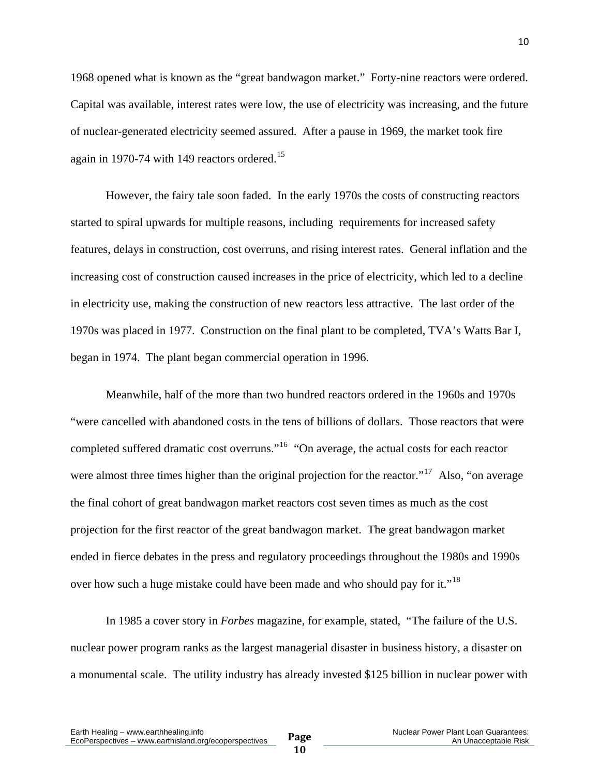1968 opened what is known as the "great bandwagon market." Forty-nine reactors were ordered. Capital was available, interest rates were low, the use of electricity was increasing, and the future of nuclear-generated electricity seemed assured. After a pause in 1969, the market took fire again in 1970-74 with 149 reactors ordered.<sup>[15](#page-23-0)</sup>

 However, the fairy tale soon faded. In the early 1970s the costs of constructing reactors started to spiral upwards for multiple reasons, including requirements for increased safety features, delays in construction, cost overruns, and rising interest rates. General inflation and the increasing cost of construction caused increases in the price of electricity, which led to a decline in electricity use, making the construction of new reactors less attractive. The last order of the 1970s was placed in 1977. Construction on the final plant to be completed, TVA's Watts Bar I, began in 1974. The plant began commercial operation in 1996.

 Meanwhile, half of the more than two hundred reactors ordered in the 1960s and 1970s "were cancelled with abandoned costs in the tens of billions of dollars. Those reactors that were completed suffered dramatic cost overruns."[16](#page-23-0) "On average, the actual costs for each reactor were almost three times higher than the original projection for the reactor."<sup>[17](#page-23-0)</sup> Also, "on average the final cohort of great bandwagon market reactors cost seven times as much as the cost projection for the first reactor of the great bandwagon market. The great bandwagon market ended in fierce debates in the press and regulatory proceedings throughout the 1980s and 1990s over how such a huge mistake could have been made and who should pay for it."<sup>[18](#page-23-0)</sup>

 In 1985 a cover story in *Forbes* magazine, for example, stated, "The failure of the U.S. nuclear power program ranks as the largest managerial disaster in business history, a disaster on a monumental scale. The utility industry has already invested \$125 billion in nuclear power with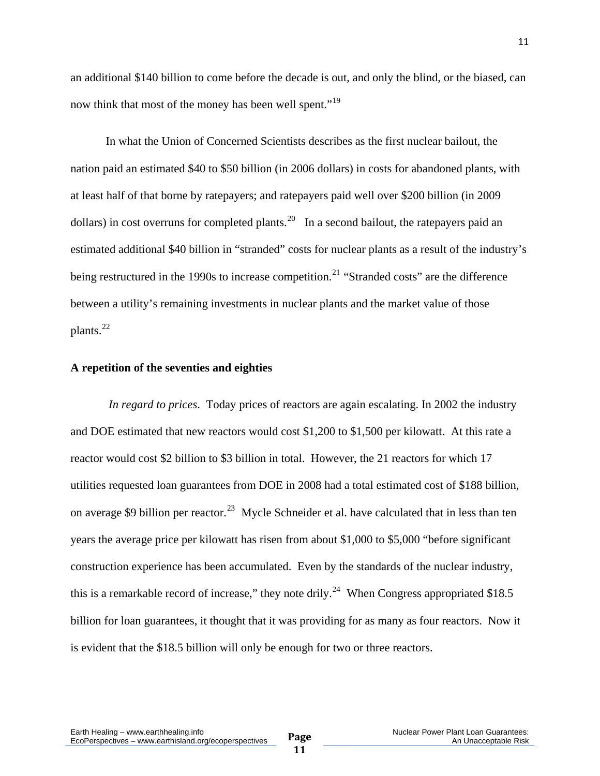an additional \$140 billion to come before the decade is out, and only the blind, or the biased, can now think that most of the money has been well spent."<sup>[19](#page-23-0)</sup>

 In what the Union of Concerned Scientists describes as the first nuclear bailout, the nation paid an estimated \$40 to \$50 billion (in 2006 dollars) in costs for abandoned plants, with at least half of that borne by ratepayers; and ratepayers paid well over \$200 billion (in 2009 dollars) in cost overruns for completed plants.<sup>[20](#page-23-0)</sup> In a second bailout, the ratepayers paid an estimated additional \$40 billion in "stranded" costs for nuclear plants as a result of the industry's being restructured in the 1990s to increase competition.<sup>[21](#page-23-0)</sup> "Stranded costs" are the difference between a utility's remaining investments in nuclear plants and the market value of those plants. $^{22}$  $^{22}$  $^{22}$ 

#### **A repetition of the seventies and eighties**

 *In regard to prices*. Today prices of reactors are again escalating. In 2002 the industry and DOE estimated that new reactors would cost \$1,200 to \$1,500 per kilowatt. At this rate a reactor would cost \$2 billion to \$3 billion in total. However, the 21 reactors for which 17 utilities requested loan guarantees from DOE in 2008 had a total estimated cost of \$188 billion, on average \$9 billion per reactor.<sup>[23](#page-23-0)</sup> Mycle Schneider et al. have calculated that in less than ten years the average price per kilowatt has risen from about \$1,000 to \$5,000 "before significant construction experience has been accumulated. Even by the standards of the nuclear industry, this is a remarkable record of increase," they note drily.<sup>[24](#page-23-0)</sup> When Congress appropriated \$18.5 billion for loan guarantees, it thought that it was providing for as many as four reactors. Now it is evident that the \$18.5 billion will only be enough for two or three reactors.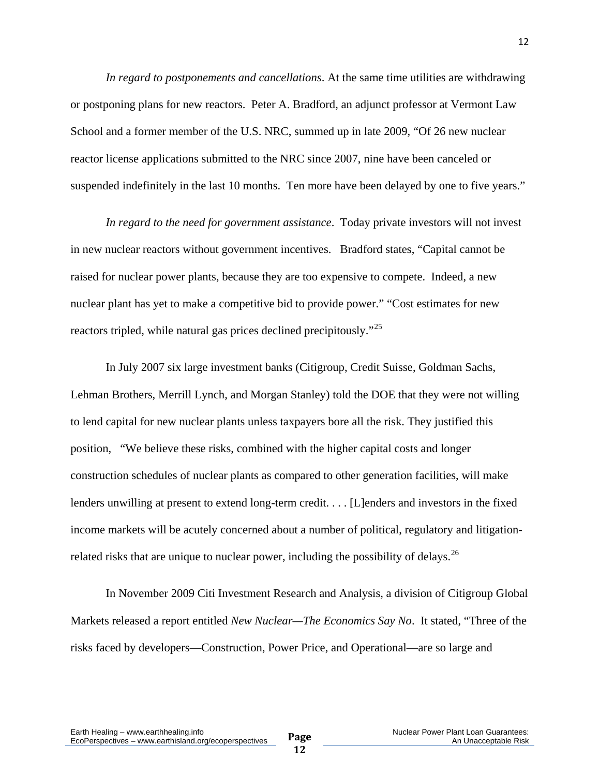*In regard to postponements and cancellations*. At the same time utilities are withdrawing or postponing plans for new reactors. Peter A. Bradford, an adjunct professor at Vermont Law School and a former member of the U.S. NRC, summed up in late 2009, "Of 26 new nuclear reactor license applications submitted to the NRC since 2007, nine have been canceled or suspended indefinitely in the last 10 months. Ten more have been delayed by one to five years."

*In regard to the need for government assistance*.Today private investors will not invest in new nuclear reactors without government incentives. Bradford states, "Capital cannot be raised for nuclear power plants, because they are too expensive to compete. Indeed, a new nuclear plant has yet to make a competitive bid to provide power." "Cost estimates for new reactors tripled, while natural gas prices declined precipitously."<sup>[25](#page-23-0)</sup>

 In July 2007 six large investment banks (Citigroup, Credit Suisse, Goldman Sachs, Lehman Brothers, Merrill Lynch, and Morgan Stanley) told the DOE that they were not willing to lend capital for new nuclear plants unless taxpayers bore all the risk. They justified this position, "We believe these risks, combined with the higher capital costs and longer construction schedules of nuclear plants as compared to other generation facilities, will make lenders unwilling at present to extend long-term credit. . . . [L]enders and investors in the fixed income markets will be acutely concerned about a number of political, regulatory and litigation-related risks that are unique to nuclear power, including the possibility of delays.<sup>[26](#page-23-0)</sup>

 In November 2009 Citi Investment Research and Analysis, a division of Citigroup Global Markets released a report entitled *New Nuclear—The Economics Say No*. It stated, "Three of the risks faced by developers—Construction, Power Price, and Operational—are so large and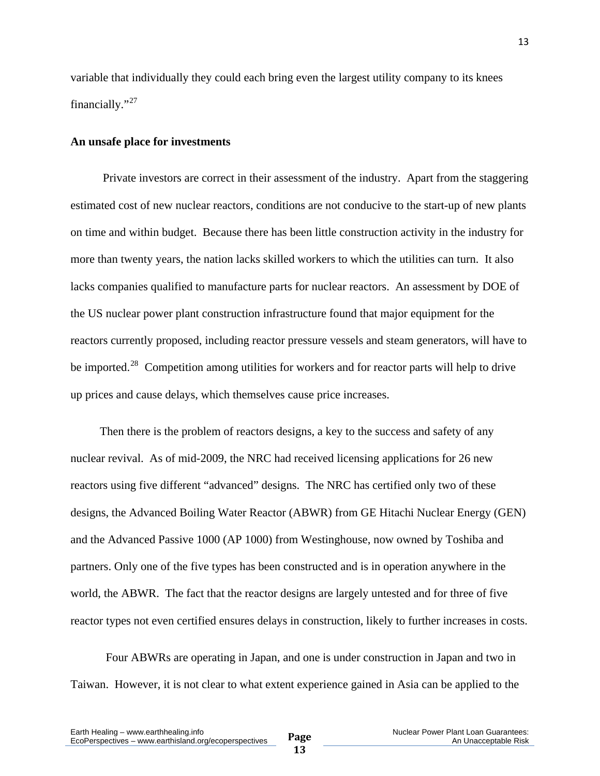variable that individually they could each bring even the largest utility company to its knees financially."<sup>[27](#page-23-0)</sup>

#### **An unsafe place for investments**

Private investors are correct in their assessment of the industry. Apart from the staggering estimated cost of new nuclear reactors, conditions are not conducive to the start-up of new plants on time and within budget. Because there has been little construction activity in the industry for more than twenty years, the nation lacks skilled workers to which the utilities can turn. It also lacks companies qualified to manufacture parts for nuclear reactors. An assessment by DOE of the US nuclear power plant construction infrastructure found that major equipment for the reactors currently proposed, including reactor pressure vessels and steam generators, will have to be imported.<sup>[28](#page-23-0)</sup> Competition among utilities for workers and for reactor parts will help to drive up prices and cause delays, which themselves cause price increases.

 Then there is the problem of reactors designs, a key to the success and safety of any nuclear revival. As of mid-2009, the NRC had received licensing applications for 26 new reactors using five different "advanced" designs. The NRC has certified only two of these designs, the Advanced Boiling Water Reactor (ABWR) from GE Hitachi Nuclear Energy (GEN) and the Advanced Passive 1000 (AP 1000) from Westinghouse, now owned by Toshiba and partners. Only one of the five types has been constructed and is in operation anywhere in the world, the ABWR. The fact that the reactor designs are largely untested and for three of five reactor types not even certified ensures delays in construction, likely to further increases in costs.

 Four ABWRs are operating in Japan, and one is under construction in Japan and two in Taiwan. However, it is not clear to what extent experience gained in Asia can be applied to the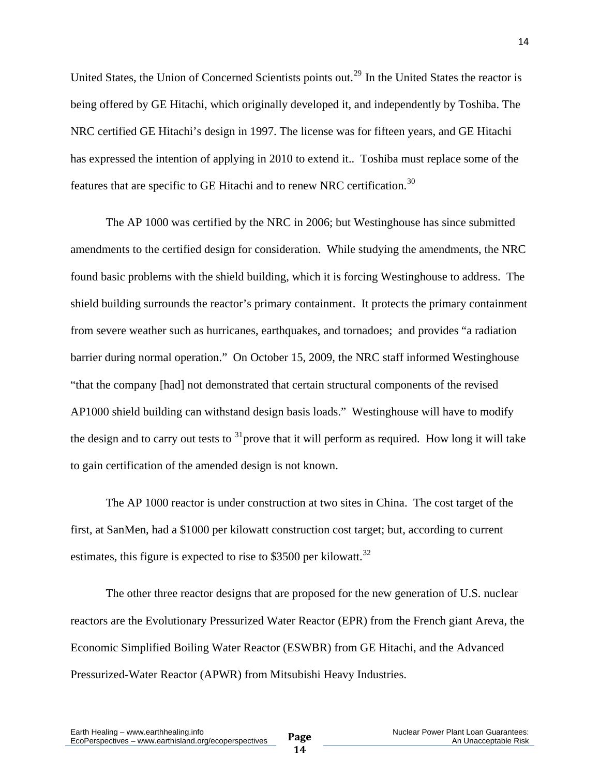United States, the Union of Concerned Scientists points out.<sup>[29](#page-23-0)</sup> In the United States the reactor is being offered by GE Hitachi, which originally developed it, and independently by Toshiba. The NRC certified GE Hitachi's design in 1997. The license was for fifteen years, and GE Hitachi has expressed the intention of applying in 2010 to extend it.. Toshiba must replace some of the features that are specific to GE Hitachi and to renew NRC certification.<sup>[30](#page-23-0)</sup>

 The AP 1000 was certified by the NRC in 2006; but Westinghouse has since submitted amendments to the certified design for consideration. While studying the amendments, the NRC found basic problems with the shield building, which it is forcing Westinghouse to address. The shield building surrounds the reactor's primary containment. It protects the primary containment from severe weather such as hurricanes, earthquakes, and tornadoes; and provides "a radiation barrier during normal operation." On October 15, 2009, the NRC staff informed Westinghouse "that the company [had] not demonstrated that certain structural components of the revised AP1000 shield building can withstand design basis loads." Westinghouse will have to modify the design and to carry out tests to  $31$  prove that it will perform as required. How long it will take to gain certification of the amended design is not known.

 The AP 1000 reactor is under construction at two sites in China. The cost target of the first, at SanMen, had a \$1000 per kilowatt construction cost target; but, according to current estimates, this figure is expected to rise to \$3500 per kilowatt.<sup>[32](#page-23-0)</sup>

 The other three reactor designs that are proposed for the new generation of U.S. nuclear reactors are the Evolutionary Pressurized Water Reactor (EPR) from the French giant Areva, the Economic Simplified Boiling Water Reactor (ESWBR) from GE Hitachi, and the Advanced Pressurized-Water Reactor (APWR) from Mitsubishi Heavy Industries.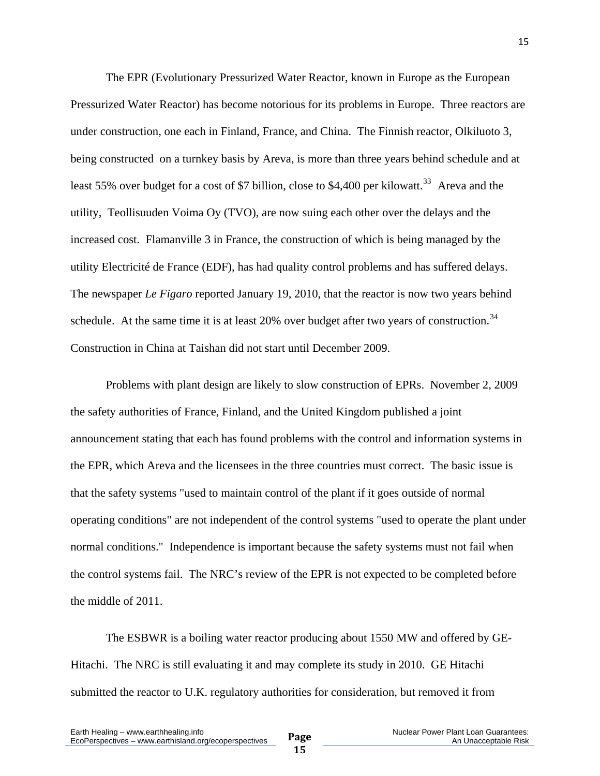The EPR (Evolutionary Pressurized Water Reactor, known in Europe as the European Pressurized Water Reactor) has become notorious for its problems in Europe. Three reactors are under construction, one each in Finland, France, and China. The Finnish reactor, Olkiluoto 3, being constructed on a turnkey basis by Areva, is more than three years behind schedule and at least 55% over budget for a cost of \$7 billion, close to \$4,400 per kilowatt.<sup>[33](#page-23-0)</sup> Areva and the utility, Teollisuuden Voima Oy (TVO), are now suing each other over the delays and the increased cost. Flamanville 3 in France, the construction of which is being managed by the utility Electricité de France (EDF), has had quality control problems and has suffered delays. The newspaper *Le Figaro* reported January 19, 2010, that the reactor is now two years behind schedule. At the same time it is at least  $20\%$  over budget after two years of construction.<sup>[34](#page-24-0)</sup> Construction in China at Taishan did not start until December 2009.

 Problems with plant design are likely to slow construction of EPRs. November 2, 2009 the safety authorities of France, Finland, and the United Kingdom published a joint announcement stating that each has found problems with the control and information systems in the EPR, which Areva and the licensees in the three countries must correct. The basic issue is that the safety systems "used to maintain control of the plant if it goes outside of normal operating conditions" are not independent of the control systems "used to operate the plant under normal conditions." Independence is important because the safety systems must not fail when the control systems fail. The NRC's review of the EPR is not expected to be completed before the middle of 2011.

 The ESBWR is a boiling water reactor producing about 1550 MW and offered by GE-Hitachi. The NRC is still evaluating it and may complete its study in 2010. GE Hitachi submitted the reactor to U.K. regulatory authorities for consideration, but removed it from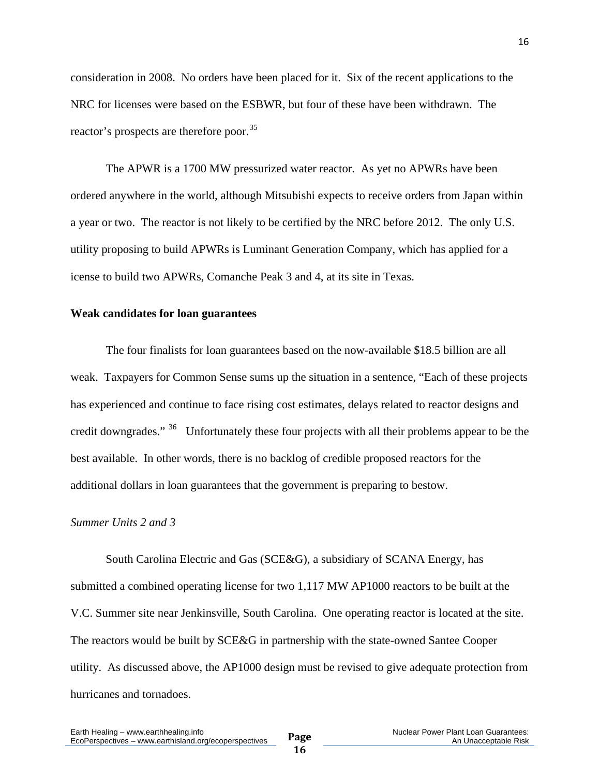consideration in 2008. No orders have been placed for it. Six of the recent applications to the NRC for licenses were based on the ESBWR, but four of these have been withdrawn. The reactor's prospects are therefore poor.<sup>[35](#page-24-0)</sup>

 The APWR is a 1700 MW pressurized water reactor. As yet no APWRs have been ordered anywhere in the world, although Mitsubishi expects to receive orders from Japan within a year or two. The reactor is not likely to be certified by the NRC before 2012. The only U.S. utility proposing to build APWRs is Luminant Generation Company, which has applied for a icense to build two APWRs, Comanche Peak 3 and 4, at its site in Texas.

#### **Weak candidates for loan guarantees**

The four finalists for loan guarantees based on the now-available \$18.5 billion are all weak. Taxpayers for Common Sense sums up the situation in a sentence, "Each of these projects has experienced and continue to face rising cost estimates, delays related to reactor designs and credit downgrades."<sup>[36](#page-24-0)</sup> Unfortunately these four projects with all their problems appear to be the best available. In other words, there is no backlog of credible proposed reactors for the additional dollars in loan guarantees that the government is preparing to bestow.

#### *Summer Units 2 and 3*

 South Carolina Electric and Gas (SCE&G), a subsidiary of SCANA Energy, has submitted a combined operating license for two 1,117 MW AP1000 reactors to be built at the V.C. Summer site near Jenkinsville, South Carolina. One operating reactor is located at the site. The reactors would be built by SCE&G in partnership with the state-owned Santee Cooper utility. As discussed above, the AP1000 design must be revised to give adequate protection from hurricanes and tornadoes.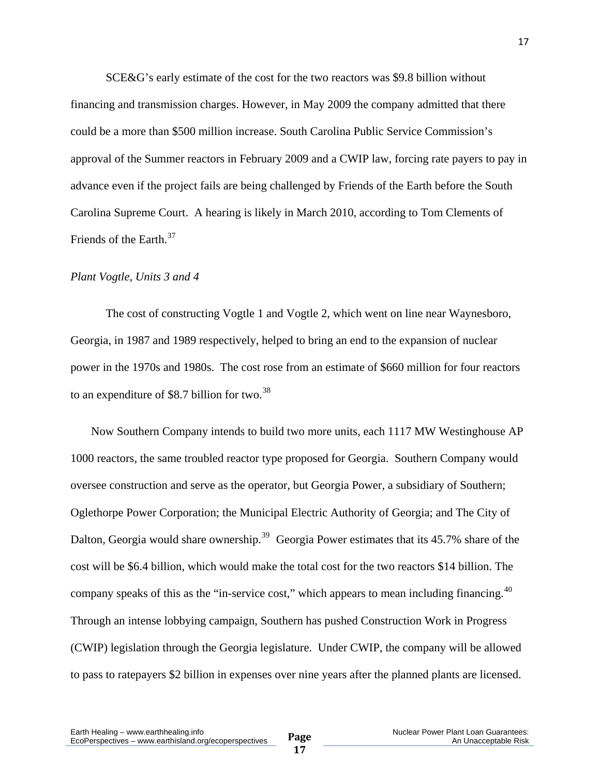SCE&G's early estimate of the cost for the two reactors was \$9.8 billion without financing and transmission charges. However, in May 2009 the company admitted that there could be a more than \$500 million increase. South Carolina Public Service Commission's approval of the Summer reactors in February 2009 and a CWIP law, forcing rate payers to pay in advance even if the project fails are being challenged by Friends of the Earth before the South Carolina Supreme Court. A hearing is likely in March 2010, according to Tom Clements of Friends of the Earth.<sup>[37](#page-24-0)</sup>

#### *Plant Vogtle, Units 3 and 4*

 The cost of constructing Vogtle 1 and Vogtle 2, which went on line near Waynesboro, Georgia, in 1987 and 1989 respectively, helped to bring an end to the expansion of nuclear power in the 1970s and 1980s. The cost rose from an estimate of \$660 million for four reactors to an expenditure of \$8.7 billion for two.[38](#page-24-0)

 Now Southern Company intends to build two more units, each 1117 MW Westinghouse AP 1000 reactors, the same troubled reactor type proposed for Georgia. Southern Company would oversee construction and serve as the operator, but Georgia Power, a subsidiary of Southern; Oglethorpe Power Corporation; the Municipal Electric Authority of Georgia; and The City of Dalton, Georgia would share ownership.<sup>[39](#page-24-0)</sup> Georgia Power estimates that its  $45.7\%$  share of the cost will be \$6.4 billion, which would make the total cost for the two reactors \$14 billion. The company speaks of this as the "in-service cost," which appears to mean including financing. $40$ Through an intense lobbying campaign, Southern has pushed Construction Work in Progress (CWIP) legislation through the Georgia legislature. Under CWIP, the company will be allowed to pass to ratepayers \$2 billion in expenses over nine years after the planned plants are licensed.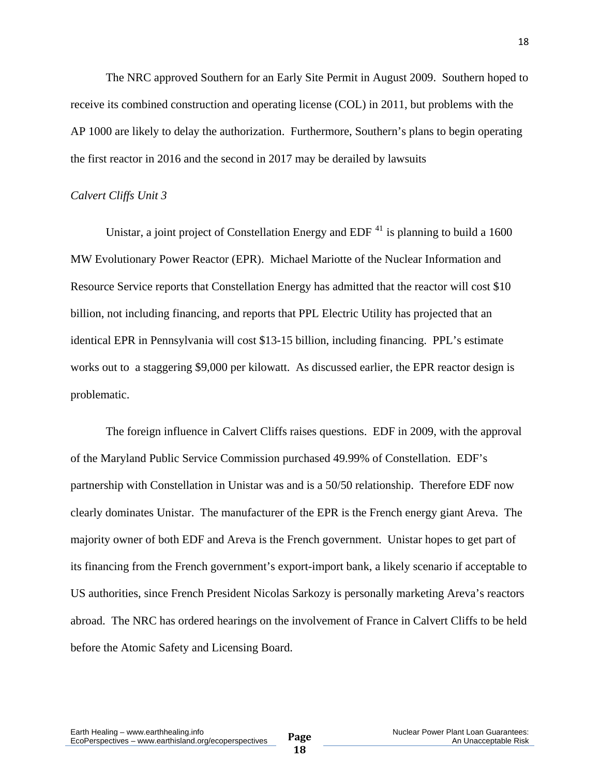The NRC approved Southern for an Early Site Permit in August 2009. Southern hoped to receive its combined construction and operating license (COL) in 2011, but problems with the AP 1000 are likely to delay the authorization. Furthermore, Southern's plans to begin operating the first reactor in 2016 and the second in 2017 may be derailed by lawsuits

#### *Calvert Cliffs Unit 3*

Unistar, a joint project of Constellation Energy and EDF  $^{41}$  $^{41}$  $^{41}$  is planning to build a 1600 MW Evolutionary Power Reactor (EPR). Michael Mariotte of the Nuclear Information and Resource Service reports that Constellation Energy has admitted that the reactor will cost \$10 billion, not including financing, and reports that PPL Electric Utility has projected that an identical EPR in Pennsylvania will cost \$13-15 billion, including financing. PPL's estimate works out to a staggering \$9,000 per kilowatt. As discussed earlier, the EPR reactor design is problematic.

 The foreign influence in Calvert Cliffs raises questions. EDF in 2009, with the approval of the Maryland Public Service Commission purchased 49.99% of Constellation. EDF's partnership with Constellation in Unistar was and is a 50/50 relationship. Therefore EDF now clearly dominates Unistar. The manufacturer of the EPR is the French energy giant Areva. The majority owner of both EDF and Areva is the French government. Unistar hopes to get part of its financing from the French government's export-import bank, a likely scenario if acceptable to US authorities, since French President Nicolas Sarkozy is personally marketing Areva's reactors abroad. The NRC has ordered hearings on the involvement of France in Calvert Cliffs to be held before the Atomic Safety and Licensing Board.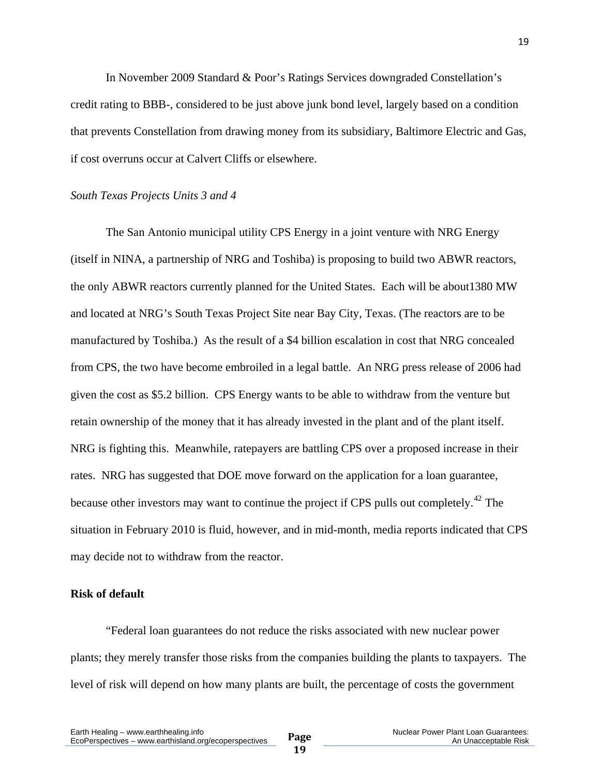In November 2009 Standard & Poor's Ratings Services downgraded Constellation's credit rating to BBB-, considered to be just above junk bond level, largely based on a condition that prevents Constellation from drawing money from its subsidiary, Baltimore Electric and Gas, if cost overruns occur at Calvert Cliffs or elsewhere.

#### *South Texas Projects Units 3 and 4*

 The San Antonio municipal utility CPS Energy in a joint venture with NRG Energy (itself in NINA, a partnership of NRG and Toshiba) is proposing to build two ABWR reactors, the only ABWR reactors currently planned for the United States. Each will be about1380 MW and located at NRG's South Texas Project Site near Bay City, Texas. (The reactors are to be manufactured by Toshiba.) As the result of a \$4 billion escalation in cost that NRG concealed from CPS, the two have become embroiled in a legal battle. An NRG press release of 2006 had given the cost as \$5.2 billion. CPS Energy wants to be able to withdraw from the venture but retain ownership of the money that it has already invested in the plant and of the plant itself. NRG is fighting this. Meanwhile, ratepayers are battling CPS over a proposed increase in their rates. NRG has suggested that DOE move forward on the application for a loan guarantee, because other investors may want to continue the project if CPS pulls out completely.[42](#page-24-0) The situation in February 2010 is fluid, however, and in mid-month, media reports indicated that CPS may decide not to withdraw from the reactor.

#### **Risk of default**

 "Federal loan guarantees do not reduce the risks associated with new nuclear power plants; they merely transfer those risks from the companies building the plants to taxpayers. The level of risk will depend on how many plants are built, the percentage of costs the government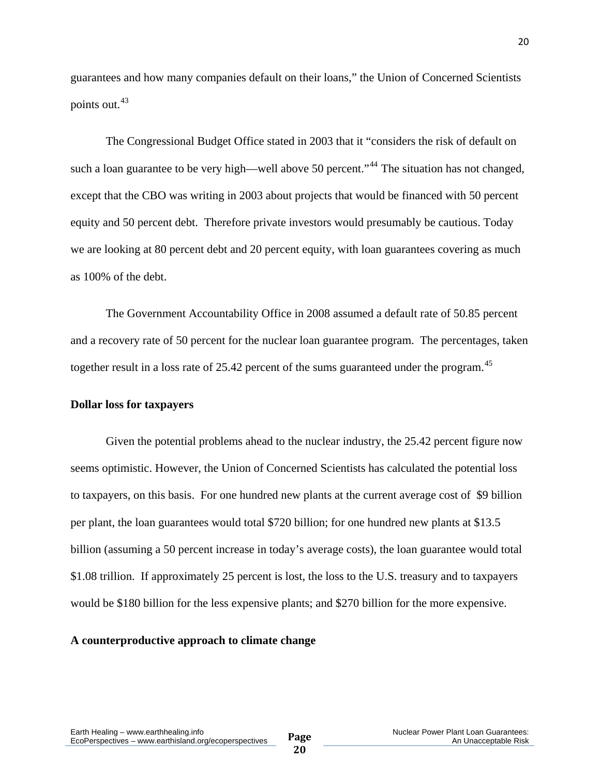guarantees and how many companies default on their loans," the Union of Concerned Scientists points out.<sup>[43](#page-24-0)</sup>

 The Congressional Budget Office stated in 2003 that it "considers the risk of default on such a loan guarantee to be very high—well above 50 percent."<sup>[44](#page-24-0)</sup> The situation has not changed, except that the CBO was writing in 2003 about projects that would be financed with 50 percent equity and 50 percent debt. Therefore private investors would presumably be cautious. Today we are looking at 80 percent debt and 20 percent equity, with loan guarantees covering as much as 100% of the debt.

 The Government Accountability Office in 2008 assumed a default rate of 50.85 percent and a recovery rate of 50 percent for the nuclear loan guarantee program. The percentages, taken together result in a loss rate of 25.42 percent of the sums guaranteed under the program.<sup>[45](#page-24-0)</sup>

#### **Dollar loss for taxpayers**

Given the potential problems ahead to the nuclear industry, the 25.42 percent figure now seems optimistic. However, the Union of Concerned Scientists has calculated the potential loss to taxpayers, on this basis. For one hundred new plants at the current average cost of \$9 billion per plant, the loan guarantees would total \$720 billion; for one hundred new plants at \$13.5 billion (assuming a 50 percent increase in today's average costs), the loan guarantee would total \$1.08 trillion. If approximately 25 percent is lost, the loss to the U.S. treasury and to taxpayers would be \$180 billion for the less expensive plants; and \$270 billion for the more expensive.

#### **A counterproductive approach to climate change**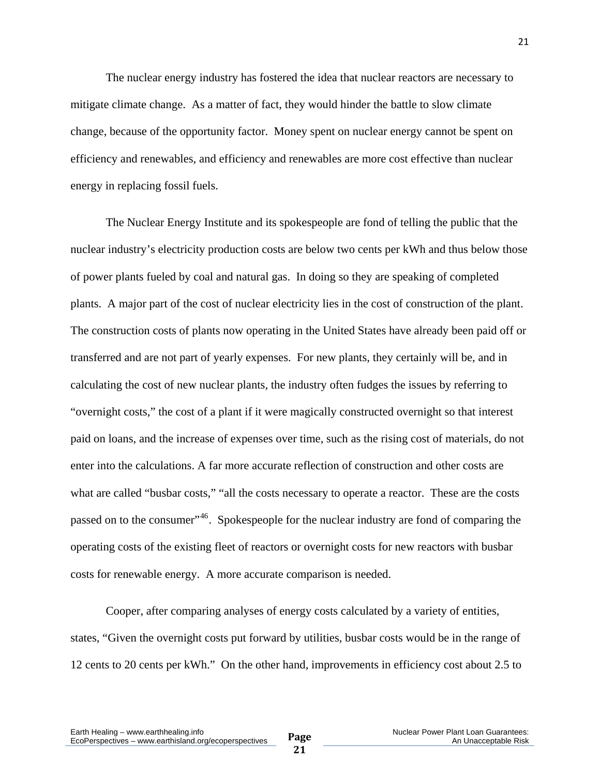The nuclear energy industry has fostered the idea that nuclear reactors are necessary to mitigate climate change. As a matter of fact, they would hinder the battle to slow climate change, because of the opportunity factor. Money spent on nuclear energy cannot be spent on efficiency and renewables, and efficiency and renewables are more cost effective than nuclear energy in replacing fossil fuels.

 The Nuclear Energy Institute and its spokespeople are fond of telling the public that the nuclear industry's electricity production costs are below two cents per kWh and thus below those of power plants fueled by coal and natural gas. In doing so they are speaking of completed plants. A major part of the cost of nuclear electricity lies in the cost of construction of the plant. The construction costs of plants now operating in the United States have already been paid off or transferred and are not part of yearly expenses. For new plants, they certainly will be, and in calculating the cost of new nuclear plants, the industry often fudges the issues by referring to "overnight costs," the cost of a plant if it were magically constructed overnight so that interest paid on loans, and the increase of expenses over time, such as the rising cost of materials, do not enter into the calculations. A far more accurate reflection of construction and other costs are what are called "busbar costs," "all the costs necessary to operate a reactor. These are the costs passed on to the consumer",<sup>[46](#page-24-0)</sup>. Spokespeople for the nuclear industry are fond of comparing the operating costs of the existing fleet of reactors or overnight costs for new reactors with busbar costs for renewable energy. A more accurate comparison is needed.

 Cooper, after comparing analyses of energy costs calculated by a variety of entities, states, "Given the overnight costs put forward by utilities, busbar costs would be in the range of 12 cents to 20 cents per kWh." On the other hand, improvements in efficiency cost about 2.5 to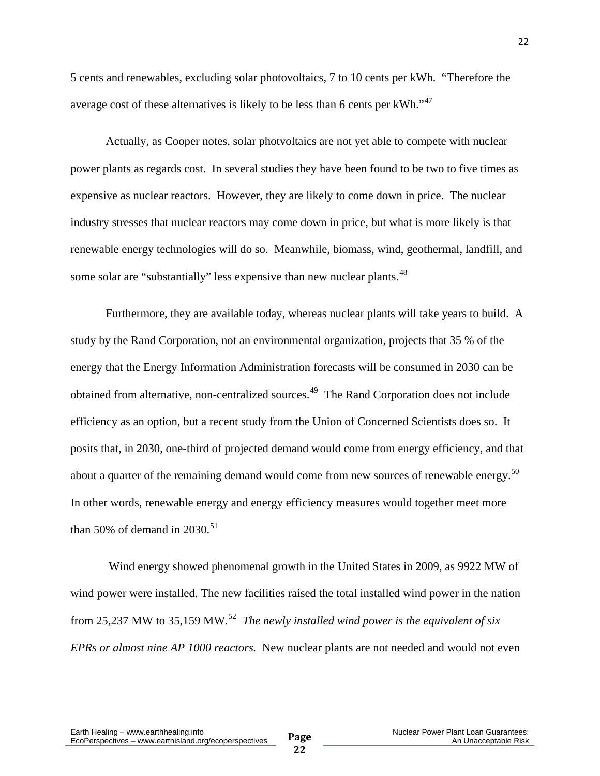5 cents and renewables, excluding solar photovoltaics, 7 to 10 cents per kWh. "Therefore the average cost of these alternatives is likely to be less than 6 cents per  $kWh.$ <sup>[47](#page-24-0)</sup>

 Actually, as Cooper notes, solar photvoltaics are not yet able to compete with nuclear power plants as regards cost. In several studies they have been found to be two to five times as expensive as nuclear reactors. However, they are likely to come down in price. The nuclear industry stresses that nuclear reactors may come down in price, but what is more likely is that renewable energy technologies will do so. Meanwhile, biomass, wind, geothermal, landfill, and some solar are "substantially" less expensive than new nuclear plants.<sup>[48](#page-24-0)</sup>

 Furthermore, they are available today, whereas nuclear plants will take years to build. A study by the Rand Corporation, not an environmental organization, projects that 35 % of the energy that the Energy Information Administration forecasts will be consumed in 2030 can be obtained from alternative, non-centralized sources.[49](#page-24-0) The Rand Corporation does not include efficiency as an option, but a recent study from the Union of Concerned Scientists does so. It posits that, in 2030, one-third of projected demand would come from energy efficiency, and that about a quarter of the remaining demand would come from new sources of renewable energy.<sup>[50](#page-24-0)</sup> In other words, renewable energy and energy efficiency measures would together meet more than 50% of demand in 2030.<sup>[51](#page-24-0)</sup>

 Wind energy showed phenomenal growth in the United States in 2009, as 9922 MW of wind power were installed. The new facilities raised the total installed wind power in the nation from 25,237 MW to 35,159 MW.[52](#page-24-0) *The newly installed wind power is the equivalent of six EPRs or almost nine AP 1000 reactors.* New nuclear plants are not needed and would not even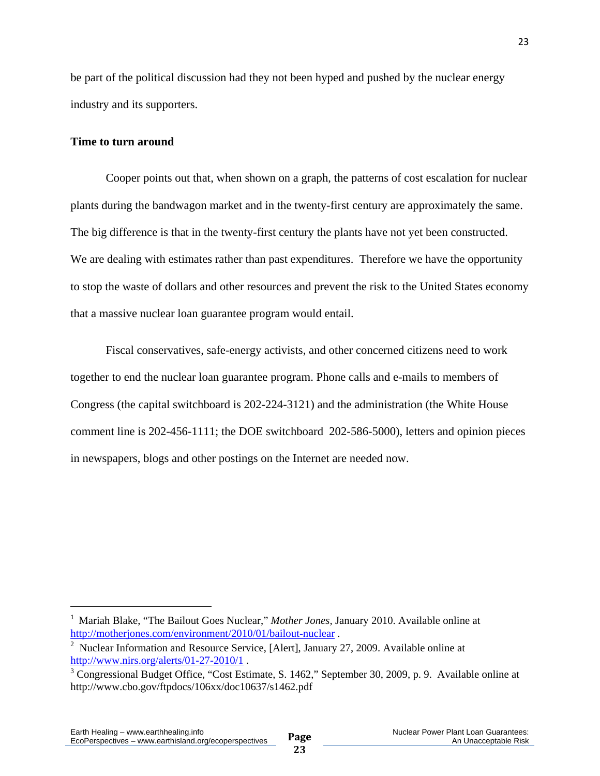<span id="page-22-1"></span>be part of the political discussion had they not been hyped and pushed by the nuclear energy industry and its supporters.

#### **Time to turn around**

Cooper points out that, when shown on a graph, the patterns of cost escalation for nuclear plants during the bandwagon market and in the twenty-first century are approximately the same. The big difference is that in the twenty-first century the plants have not yet been constructed. We are dealing with estimates rather than past expenditures. Therefore we have the opportunity to stop the waste of dollars and other resources and prevent the risk to the United States economy that a massive nuclear loan guarantee program would entail.

 Fiscal conservatives, safe-energy activists, and other concerned citizens need to work together to end the nuclear loan guarantee program. Phone calls and e-mails to members of Congress (the capital switchboard is 202-224-3121) and the administration (the White House comment line is 202-456-1111; the DOE switchboard 202-586-5000), letters and opinion pieces in newspapers, blogs and other postings on the Internet are needed now.

<span id="page-22-0"></span><sup>&</sup>lt;sup>1</sup> Mariah Blake, "The Bailout Goes Nuclear," Mother Jones, January 2010. Available online at http://motherjones.com/environment/2010/01/bailout-nuclear.

<sup>&</sup>lt;sup>2</sup> Nuclear Information and Resource Service, [Alert], January 27, 2009. Available online at http://www.nirs.org/alerts/01-27-2010/1.

<sup>&</sup>lt;sup>3</sup> Congressional Budget Office, "Cost Estimate, S. 1462," September 30, 2009, p. 9. Available online at http://www.cbo.gov/ftpdocs/106xx/doc10637/s1462.pdf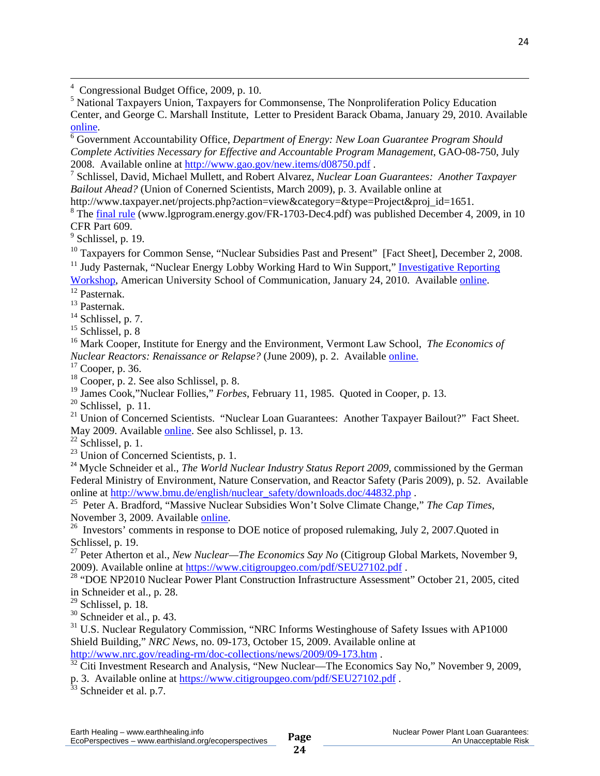4 Congressional Budget Office, 2009, p. 10.

<sup>5</sup> National Taxpayers Union, Taxpayers for Commonsense, The Nonproliferation Policy Education Center, and George C. Marshall Institute, Letter to President Barack Obama, January 29, 2010. Available [online.](http://www.taxpayer.net/resources.php?category=&type=Project&proj_id=3131&action=Headlines%20By%20TCS)

<span id="page-23-0"></span><u> 1989 - Johann Stoff, amerikansk politiker (d. 1989)</u>

 Government Accountability Office, *Department of Energy: New Loan Guarantee Program Should Complete Activities Necessary for Effective and Accountable Program Management*, GAO-08-750, July 2008. Available online at <http://www.gao.gov/new.items/d08750.pdf> . 7

 Schlissel, David, Michael Mullett, and Robert Alvarez, *Nuclear Loan Guarantees: Another Taxpayer Bailout Ahead?* (Union of Conerned Scientists, March 2009), p. 3. Available online at

http://www.taxpayer.net/projects.php?action=view&category=&type=Project&proj\_id=1651.

 $8$  The [final rule](http://www.lgprogram.energy.gov/FR-1703-Dec4.pdf) (www.lgprogram.energy.gov/FR-1703-Dec4.pdf) was published December 4, 2009, in 10 CFR Part 609.

 $<sup>9</sup>$  Schlissel, p. 19.</sup>

<sup>10</sup> Taxpayers for Common Sense, "Nuclear Subsidies Past and Present" [Fact Sheet], December 2, 2008.

 $11$  Judy Pasternak, "Nuclear Energy Lobby Working Hard to Win Support," Investigative Reporting [Workshop,](http://www.investigativereportingworkshop.org/investigations/nuclear-energy-lobbying-push/story/nuclear-energy-working-hard-win-support/) American University School of Communication, January 24, 2010. Available [online.](http://investigativereportingworkshop.org/investigations/nuclear-energy-lobbying-push/story/nuclear-energy-working-hard-win-support/)<br><sup>12</sup> Pasternak.

13 Pasternak.

<sup>14</sup> Schlissel, p. 7.

 $15$  Schlissel, p. 8

16 Mark Cooper, Institute for Energy and the Environment, Vermont Law School, *The Economics of Nuclear Reactors: Renaissance or Relapse?* (June 2009), p. 2. Available [online.](http://www.vermontlaw.edu/Documents/Cooper%20Report%20on%20Nuclear%20Economics%20FINAL%5B1%5D.pdf)

17 Cooper, p. 36.

 $18$  Cooper, p. 2. See also Schlissel, p. 8.

19 James Cook,"Nuclear Follies," *Forbes*, February 11, 1985. Quoted in Cooper, p. 13.

 $20$  Schlissel, p. 11.

<sup>21</sup> Union of Concerned Scientists. "Nuclear Loan Guarantees: Another Taxpayer Bailout?" Fact Sheet. May 2009. Available [online](http://www.ucsusa.org/assets/documents/nuclear_power/nuclear-loan-guarantees-_fact-sheet_.pdf). See also Schlissel, p. 13.

 $22$  Schlissel, p. 1.

 $23$  Union of Concerned Scientists, p. 1.

<sup>24</sup> Mycle Schneider et al., *The World Nuclear Industry Status Report 2009*, commissioned by the German Federal Ministry of Environment, Nature Conservation, and Reactor Safety (Paris 2009), p. 52. Available online at http://www.bmu.de/english/nuclear\_safety/downloads.doc/44832.php.

<sup>25</sup> Peter A. Bradford, "Massive Nuclear Subsidies Won't Solve Climate Change," *The Cap Times*, November 3, 2009. Available <u>online</u>.

 $\frac{26}{100}$  Investors' comments in response to DOE notice of proposed rulemaking, July 2, 2007. Quoted in Schlissel, p. 19.

27 Peter Atherton et al., *New Nuclear—The Economics Say No* (Citigroup Global Markets, November 9, 2009). Available online at <https://www.citigroupgeo.com/pdf/SEU27102.pdf> .<br><sup>28</sup> "DOE NP2010 Nuclear Power Plant Construction Infrastructure Assessment" October 21, 2005, cited

in Schneider et al., p. 28.

 $29$  Schlissel, p. 18.

 $30$  Schneider et al., p. 43.

<sup>31</sup> U.S. Nuclear Regulatory Commission, "NRC Informs Westinghouse of Safety Issues with AP1000 Shield Building," *NRC News*, no. 09-173, October 15, 2009. Available online at

<http://www.nrc.gov/reading-rm/doc-collections/news/2009/09-173.htm> .<br><sup>[32](http://www.nrc.gov/reading-rm/doc-collections/news/2009/09-173.htm)</sup> Citi Investment Research and Analysis, "New Nuclear—The Economics Say No," November 9, 2009, p. 3. Available online at<https://www.citigroupgeo.com/pdf/SEU27102.pdf> . 33 Schneider et al. p.7.